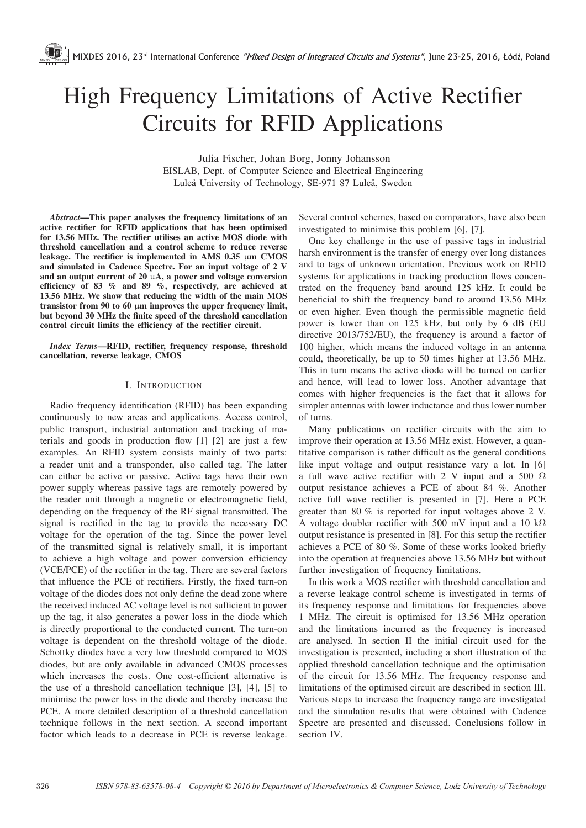# High Frequency Limitations of Active Rectifier Circuits for RFID Applications

Julia Fischer, Johan Borg, Jonny Johansson EISLAB, Dept. of Computer Science and Electrical Engineering Luleå University of Technology, SE-971 87 Luleå, Sweden

*Abstract*—This paper analyses the frequency limitations of an active rectifier for RFID applications that has been optimised for 13.56 MHz. The rectifier utilises an active MOS diode with threshold cancellation and a control scheme to reduce reverse leakage. The rectifier is implemented in AMS 0.35 μm CMOS and simulated in Cadence Spectre. For an input voltage of 2 V and an output current of 20  $\mu$ A, a power and voltage conversion efficiency of 83 % and 89 %, respectively, are achieved at 13.56 MHz. We show that reducing the width of the main MOS transistor from 90 to 60  $\mu$ m improves the upper frequency limit, but beyond 30 MHz the finite speed of the threshold cancellation control circuit limits the efficiency of the rectifier circuit.

*Index Terms*—RFID, rectifier, frequency response, threshold cancellation, reverse leakage, CMOS

# I. INTRODUCTION

Radio frequency identification (RFID) has been expanding continuously to new areas and applications. Access control, public transport, industrial automation and tracking of materials and goods in production flow [1] [2] are just a few examples. An RFID system consists mainly of two parts: a reader unit and a transponder, also called tag. The latter can either be active or passive. Active tags have their own power supply whereas passive tags are remotely powered by the reader unit through a magnetic or electromagnetic field, depending on the frequency of the RF signal transmitted. The signal is rectified in the tag to provide the necessary DC voltage for the operation of the tag. Since the power level of the transmitted signal is relatively small, it is important to achieve a high voltage and power conversion efficiency (VCE/PCE) of the rectifier in the tag. There are several factors that influence the PCE of rectifiers. Firstly, the fixed turn-on voltage of the diodes does not only define the dead zone where the received induced AC voltage level is not sufficient to power up the tag, it also generates a power loss in the diode which is directly proportional to the conducted current. The turn-on voltage is dependent on the threshold voltage of the diode. Schottky diodes have a very low threshold compared to MOS diodes, but are only available in advanced CMOS processes which increases the costs. One cost-efficient alternative is the use of a threshold cancellation technique [3], [4], [5] to minimise the power loss in the diode and thereby increase the PCE. A more detailed description of a threshold cancellation technique follows in the next section. A second important factor which leads to a decrease in PCE is reverse leakage.

Several control schemes, based on comparators, have also been investigated to minimise this problem [6], [7].

One key challenge in the use of passive tags in industrial harsh environment is the transfer of energy over long distances and to tags of unknown orientation. Previous work on RFID systems for applications in tracking production flows concentrated on the frequency band around 125 kHz. It could be beneficial to shift the frequency band to around 13.56 MHz or even higher. Even though the permissible magnetic field power is lower than on 125 kHz, but only by 6 dB (EU directive 2013/752/EU), the frequency is around a factor of 100 higher, which means the induced voltage in an antenna could, theoretically, be up to 50 times higher at 13.56 MHz. This in turn means the active diode will be turned on earlier and hence, will lead to lower loss. Another advantage that comes with higher frequencies is the fact that it allows for simpler antennas with lower inductance and thus lower number of turns.

Many publications on rectifier circuits with the aim to improve their operation at 13.56 MHz exist. However, a quantitative comparison is rather difficult as the general conditions like input voltage and output resistance vary a lot. In [6] a full wave active rectifier with 2 V input and a 500  $\Omega$ output resistance achieves a PCE of about 84 %. Another active full wave rectifier is presented in [7]. Here a PCE greater than 80 % is reported for input voltages above 2 V. A voltage doubler rectifier with 500 mV input and a 10 k $\Omega$ output resistance is presented in [8]. For this setup the rectifier achieves a PCE of 80 %. Some of these works looked briefly into the operation at frequencies above 13.56 MHz but without further investigation of frequency limitations.

In this work a MOS rectifier with threshold cancellation and a reverse leakage control scheme is investigated in terms of its frequency response and limitations for frequencies above 1 MHz. The circuit is optimised for 13.56 MHz operation and the limitations incurred as the frequency is increased are analysed. In section II the initial circuit used for the investigation is presented, including a short illustration of the applied threshold cancellation technique and the optimisation of the circuit for 13.56 MHz. The frequency response and limitations of the optimised circuit are described in section III. Various steps to increase the frequency range are investigated and the simulation results that were obtained with Cadence Spectre are presented and discussed. Conclusions follow in section IV.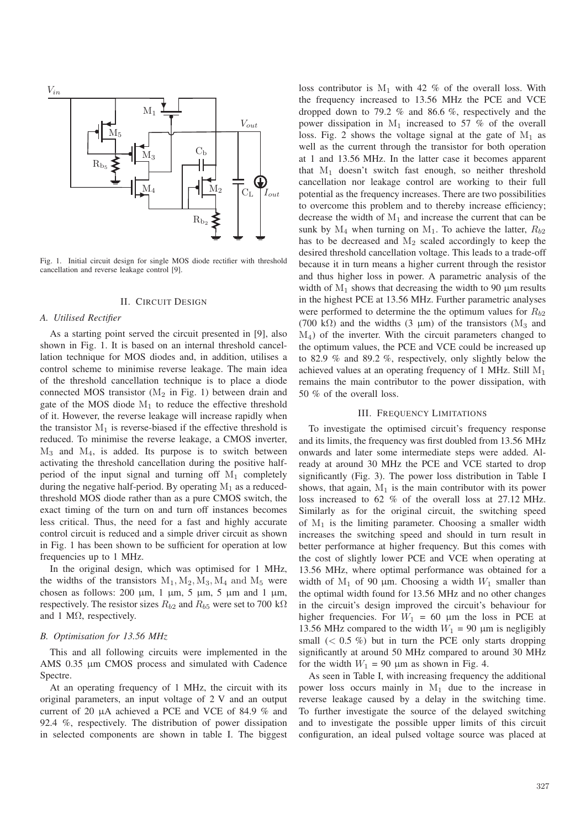

Fig. 1. Initial circuit design for single MOS diode rectifier with threshold cancellation and reverse leakage control [9].

## II. CIRCUIT DESIGN

## *A. Utilised Rectifier*

As a starting point served the circuit presented in [9], also shown in Fig. 1. It is based on an internal threshold cancellation technique for MOS diodes and, in addition, utilises a control scheme to minimise reverse leakage. The main idea of the threshold cancellation technique is to place a diode connected MOS transistor  $(M_2$  in Fig. 1) between drain and gate of the MOS diode  $M_1$  to reduce the effective threshold of it. However, the reverse leakage will increase rapidly when the transistor  $M_1$  is reverse-biased if the effective threshold is reduced. To minimise the reverse leakage, a CMOS inverter,  $M_3$  and  $M_4$ , is added. Its purpose is to switch between activating the threshold cancellation during the positive halfperiod of the input signal and turning off  $M_1$  completely during the negative half-period. By operating  $M_1$  as a reducedthreshold MOS diode rather than as a pure CMOS switch, the exact timing of the turn on and turn off instances becomes less critical. Thus, the need for a fast and highly accurate control circuit is reduced and a simple driver circuit as shown in Fig. 1 has been shown to be sufficient for operation at low frequencies up to 1 MHz.

In the original design, which was optimised for 1 MHz, the widths of the transistors  $M_1, M_2, M_3, M_4$  and  $M_5$  were chosen as follows: 200 μm, 1 μm, 5 μm, 5 μm and 1 μm, respectively. The resistor sizes  $R_{b2}$  and  $R_{b5}$  were set to 700 k $\Omega$ and 1 MΩ, respectively.

## *B. Optimisation for 13.56 MHz*

This and all following circuits were implemented in the AMS 0.35 μm CMOS process and simulated with Cadence Spectre.

At an operating frequency of 1 MHz, the circuit with its original parameters, an input voltage of 2 V and an output current of 20 μA achieved a PCE and VCE of 84.9 % and 92.4 %, respectively. The distribution of power dissipation in selected components are shown in table I. The biggest loss contributor is  $M_1$  with 42 % of the overall loss. With the frequency increased to 13.56 MHz the PCE and VCE dropped down to 79.2 % and 86.6 %, respectively and the power dissipation in  $M_1$  increased to 57 % of the overall loss. Fig. 2 shows the voltage signal at the gate of  $M_1$  as well as the current through the transistor for both operation at 1 and 13.56 MHz. In the latter case it becomes apparent that  $M_1$  doesn't switch fast enough, so neither threshold cancellation nor leakage control are working to their full potential as the frequency increases. There are two possibilities to overcome this problem and to thereby increase efficiency; decrease the width of  $M_1$  and increase the current that can be sunk by  $M_4$  when turning on  $M_1$ . To achieve the latter,  $R_{b2}$ has to be decreased and  $M_2$  scaled accordingly to keep the desired threshold cancellation voltage. This leads to a trade-off because it in turn means a higher current through the resistor and thus higher loss in power. A parametric analysis of the width of  $M_1$  shows that decreasing the width to 90  $\mu$ m results in the highest PCE at 13.56 MHz. Further parametric analyses were performed to determine the the optimum values for  $R_{b2}$ (700 kΩ) and the widths (3  $\mu$ m) of the transistors (M<sub>3</sub> and M4) of the inverter. With the circuit parameters changed to the optimum values, the PCE and VCE could be increased up to 82.9 % and 89.2 %, respectively, only slightly below the achieved values at an operating frequency of 1 MHz. Still M<sup>1</sup> remains the main contributor to the power dissipation, with 50 % of the overall loss.

#### III. FREQUENCY LIMITATIONS

To investigate the optimised circuit's frequency response and its limits, the frequency was first doubled from 13.56 MHz onwards and later some intermediate steps were added. Already at around 30 MHz the PCE and VCE started to drop significantly (Fig. 3). The power loss distribution in Table I shows, that again,  $M_1$  is the main contributor with its power loss increased to 62 % of the overall loss at 27.12 MHz. Similarly as for the original circuit, the switching speed of  $M_1$  is the limiting parameter. Choosing a smaller width increases the switching speed and should in turn result in better performance at higher frequency. But this comes with the cost of slightly lower PCE and VCE when operating at 13.56 MHz, where optimal performance was obtained for a width of  $M_1$  of 90 µm. Choosing a width  $W_1$  smaller than the optimal width found for 13.56 MHz and no other changes in the circuit's design improved the circuit's behaviour for higher frequencies. For  $W_1 = 60$  μm the loss in PCE at 13.56 MHz compared to the width  $W_1 = 90 \mu m$  is negligibly small  $(< 0.5\%$ ) but in turn the PCE only starts dropping significantly at around 50 MHz compared to around 30 MHz for the width  $W_1 = 90 \mu m$  as shown in Fig. 4.

As seen in Table I, with increasing frequency the additional power loss occurs mainly in  $M_1$  due to the increase in reverse leakage caused by a delay in the switching time. To further investigate the source of the delayed switching and to investigate the possible upper limits of this circuit configuration, an ideal pulsed voltage source was placed at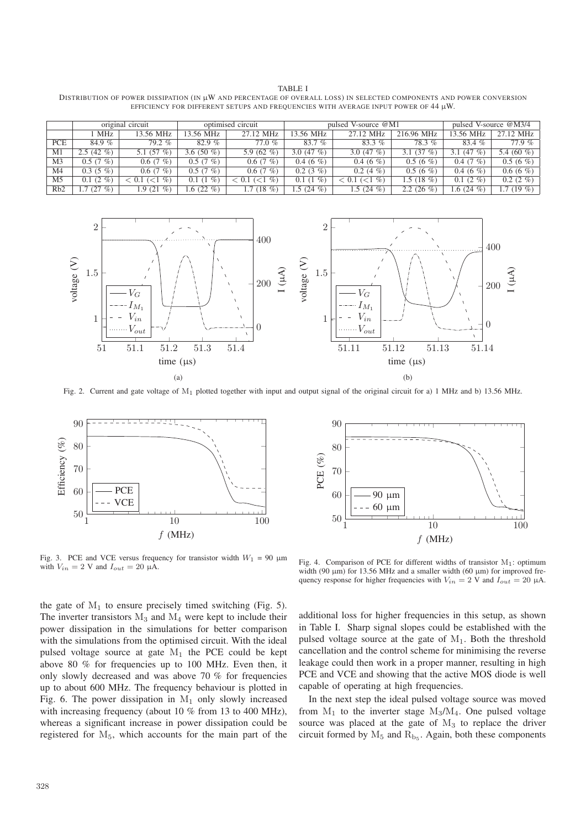TABLE I

|                | original circuit |                       | optimised circuit |                                  | pulsed V-source @M1 |              |                  | pulsed V-source @M3/4 |              |
|----------------|------------------|-----------------------|-------------------|----------------------------------|---------------------|--------------|------------------|-----------------------|--------------|
|                | . MHz            | 13.56 MHz             | 13.56 MHz         | 27.12 MHz                        | 13.56 MHz           | 27.12 MHz    | 216.96 MHz       | 13.56 MHz             | 27.12 MHz    |
| <b>PCE</b>     | 84.9 %           | 79.2%                 | 82.9 %            | 77.0 %                           | 83.7 %              | 83.3%        | 78.3%            | 83.4 %                | 77.9%        |
| M <sub>1</sub> | 2.5(42%)         | 5.1 $(57%)$           | 3.6 $(50\%$       | 5.9 (62 $%$ )                    | 3.0 $(47\%)$        | 3.0 $(47\%$  | $(37 \%)$<br>3.1 | (47, 9)<br>3.1        | 5.4 $(60\%$  |
| M <sub>3</sub> | 0.5(7%)          | 0.6(7%)               | 0.5(7%)           | 0.6(7%)                          | $0.4(6\%)$          | $0.4(6\%)$   | $0.5(6\%)$       | 0.4(7%)               | 0.5(6%)      |
| M4             | $0.3(5\%)$       | 0.6(7%)               | 0.5(7%)           | 0.6(7%)                          | 0.2(3%)             | 0.2(4%)      | $0.5(6\%)$       | 0.4(6%)               | 0.6(6%)      |
| M <sub>5</sub> | $0.1(2\%)$       | $\%$<br>$0.1$ ( $<$ 1 | $\%$<br>0.1 (     | $\mathscr{G}_o$<br>$0.1$ ( $<$ 1 | $0.1(1\%)$          | $0.1 (< 1\%$ | 1.5 (18 %)       | $0.1(2\%)$            | $0.2(2\%)$   |
| Rb2            | $(27 \%)$        | $\%$<br>1.9 (21       | 1.6 $(22 \%)$     | 1.7 $(18\%$                      | 1.5(24%)            | 1.5 $(24\%$  | 2.2 $(26 \% )$   | 1.6 (24 %)            | 1.7 $(19\%)$ |

DISTRIBUTION OF POWER DISSIPATION (IN μW AND PERCENTAGE OF OVERALL LOSS) IN SELECTED COMPONENTS AND POWER CONVERSION EFFICIENCY FOR DIFFERENT SETUPS AND FREQUENCIES WITH AVERAGE INPUT POWER OF  $44 \mu W$ .



Fig. 2. Current and gate voltage of  $M_1$  plotted together with input and output signal of the original circuit for a) 1 MHz and b) 13.56 MHz.



Fig. 3. PCE and VCE versus frequency for transistor width  $W_1 = 90 \text{ }\mu\text{m}$ with  $V_{in} = 2$  V and  $I_{out} = 20$  µA.

the gate of  $M_1$  to ensure precisely timed switching (Fig. 5). The inverter transistors  $M_3$  and  $M_4$  were kept to include their power dissipation in the simulations for better comparison with the simulations from the optimised circuit. With the ideal pulsed voltage source at gate  $M_1$  the PCE could be kept above 80 % for frequencies up to 100 MHz. Even then, it only slowly decreased and was above 70 % for frequencies up to about 600 MHz. The frequency behaviour is plotted in Fig. 6. The power dissipation in  $M_1$  only slowly increased with increasing frequency (about 10 % from 13 to 400 MHz), whereas a significant increase in power dissipation could be registered for M5, which accounts for the main part of the



Fig. 4. Comparison of PCE for different widths of transistor  $M_1$ : optimum width (90 μm) for 13.56 MHz and a smaller width (60 μm) for improved frequency response for higher frequencies with  $V_{in} = 2$  V and  $I_{out} = 20$  µA.

additional loss for higher frequencies in this setup, as shown in Table I. Sharp signal slopes could be established with the pulsed voltage source at the gate of  $M_1$ . Both the threshold cancellation and the control scheme for minimising the reverse leakage could then work in a proper manner, resulting in high PCE and VCE and showing that the active MOS diode is well capable of operating at high frequencies.

In the next step the ideal pulsed voltage source was moved from  $M_1$  to the inverter stage  $M_3/M_4$ . One pulsed voltage source was placed at the gate of  $M_3$  to replace the driver circuit formed by  $M_5$  and  $R_{b5}$ . Again, both these components